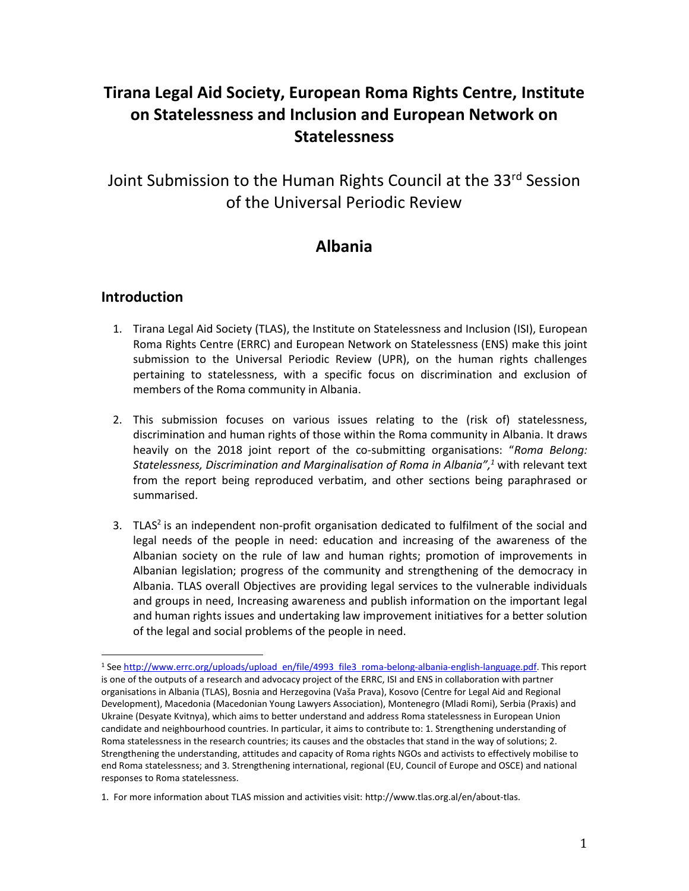# **Tirana Legal Aid Society, European Roma Rights Centre, Institute on Statelessness and Inclusion and European Network on Statelessness**

Joint Submission to the Human Rights Council at the 33rd Session of the Universal Periodic Review

## **Albania**

## **Introduction**

- 1. Tirana Legal Aid Society (TLAS), the Institute on Statelessness and Inclusion (ISI), European Roma Rights Centre (ERRC) and European Network on Statelessness (ENS) make this joint submission to the Universal Periodic Review (UPR), on the human rights challenges pertaining to statelessness, with a specific focus on discrimination and exclusion of members of the Roma community in Albania.
- 2. This submission focuses on various issues relating to the (risk of) statelessness, discrimination and human rights of those within the Roma community in Albania. It draws heavily on the 2018 joint report of the co-submitting organisations: "*Roma Belong: Statelessness, Discrimination and Marginalisation of Roma in Albania", <sup>1</sup>* with relevant text from the report being reproduced verbatim, and other sections being paraphrased or summarised.
- 3. TLAS<sup>2</sup> is an independent non-profit organisation dedicated to fulfilment of the social and legal needs of the people in need: education and increasing of the awareness of the Albanian society on the rule of law and human rights; promotion of improvements in Albanian legislation; progress of the community and strengthening of the democracy in Albania. TLAS overall Objectives are providing legal services to the vulnerable individuals and groups in need, Increasing awareness and publish information on the important legal and human rights issues and undertaking law improvement initiatives for a better solution of the legal and social problems of the people in need.

 $\overline{a}$ <sup>1</sup> Se[e http://www.errc.org/uploads/upload\\_en/file/4993\\_file3\\_roma-belong-albania-english-language.pdf.](http://www.errc.org/uploads/upload_en/file/4993_file3_roma-belong-albania-english-language.pdf) This report is one of the outputs of a research and advocacy project of the ERRC, ISI and ENS in collaboration with partner organisations in Albania (TLAS), Bosnia and Herzegovina (Vaša Prava), Kosovo (Centre for Legal Aid and Regional Development), Macedonia (Macedonian Young Lawyers Association), Montenegro (Mladi Romi), Serbia (Praxis) and Ukraine (Desyate Kvitnya), which aims to better understand and address Roma statelessness in European Union candidate and neighbourhood countries. In particular, it aims to contribute to: 1. Strengthening understanding of Roma statelessness in the research countries; its causes and the obstacles that stand in the way of solutions; 2. Strengthening the understanding, attitudes and capacity of Roma rights NGOs and activists to effectively mobilise to end Roma statelessness; and 3. Strengthening international, regional (EU, Council of Europe and OSCE) and national responses to Roma statelessness.

<sup>1.</sup> For more information about TLAS mission and activities visit: http://www.tlas.org.al/en/about-tlas.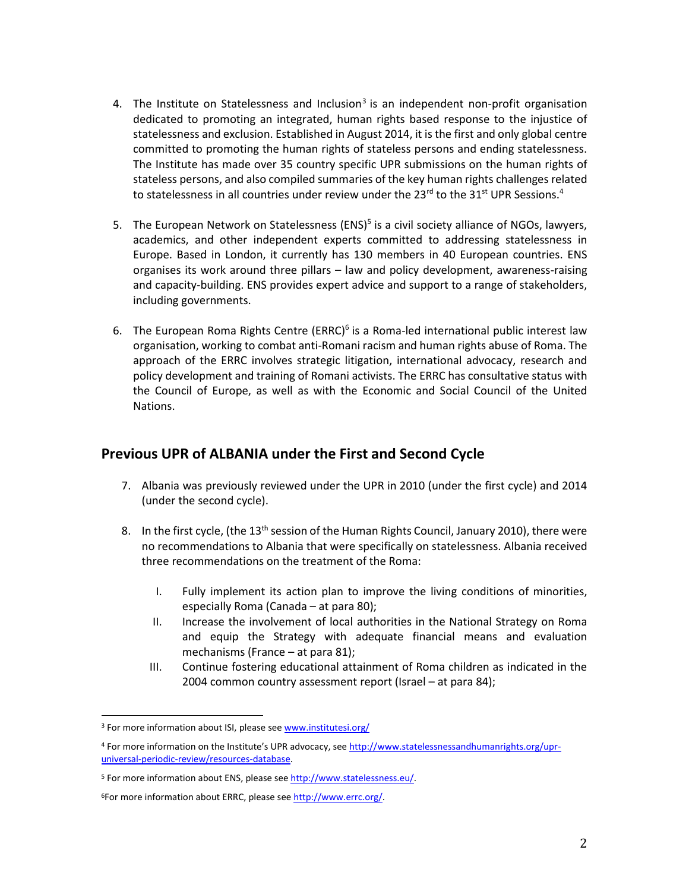- 4. The Institute on Statelessness and Inclusion<sup>3</sup> is an independent non-profit organisation dedicated to promoting an integrated, human rights based response to the injustice of statelessness and exclusion. Established in August 2014, it is the first and only global centre committed to promoting the human rights of stateless persons and ending statelessness. The Institute has made over 35 country specific UPR submissions on the human rights of stateless persons, and also compiled summaries of the key human rights challenges related to statelessness in all countries under review under the 23<sup>rd</sup> to the 31<sup>st</sup> UPR Sessions.<sup>4</sup>
- 5. The European Network on Statelessness (ENS)<sup>5</sup> is a civil society alliance of NGOs, lawyers, academics, and other independent experts committed to addressing statelessness in Europe. Based in London, it currently has 130 members in 40 European countries. ENS organises its work around three pillars – law and policy development, awareness-raising and capacity-building. ENS provides expert advice and support to a range of stakeholders, including governments.
- 6. The European Roma Rights Centre (ERRC)<sup>6</sup> is a Roma-led international public interest law organisation, working to combat anti-Romani racism and human rights abuse of Roma. The approach of the ERRC involves strategic litigation, international advocacy, research and policy development and training of Romani activists. The ERRC has consultative status with the Council of Europe, as well as with the Economic and Social Council of the United Nations.

## **Previous UPR of ALBANIA under the First and Second Cycle**

- 7. Albania was previously reviewed under the UPR in 2010 (under the first cycle) and 2014 (under the second cycle).
- 8. In the first cycle, (the  $13<sup>th</sup>$  session of the Human Rights Council, January 2010), there were no recommendations to Albania that were specifically on statelessness. Albania received three recommendations on the treatment of the Roma:
	- I. Fully implement its action plan to improve the living conditions of minorities, especially Roma (Canada – at para 80);
	- II. Increase the involvement of local authorities in the National Strategy on Roma and equip the Strategy with adequate financial means and evaluation mechanisms (France – at para 81);
	- III. Continue fostering educational attainment of Roma children as indicated in the 2004 common country assessment report (Israel – at para 84);

<sup>&</sup>lt;sup>3</sup> For more information about ISI, please see [www.institutesi.org/](http://www.institutesi.org/)

<sup>4</sup> For more information on the Institute's UPR advocacy, see [http://www.statelessnessandhumanrights.org/upr](http://www.institutesi.org/ourwork/humanrights.php)[universal-periodic-review/resources-database.](http://www.institutesi.org/ourwork/humanrights.php)

<sup>&</sup>lt;sup>5</sup> For more information about ENS, please se[e http://www.statelessness.eu/.](http://www.statelessness.eu/)

<sup>&</sup>lt;sup>6</sup>For more information about ERRC, please see [http://www.errc.org/.](http://www.errc.org/)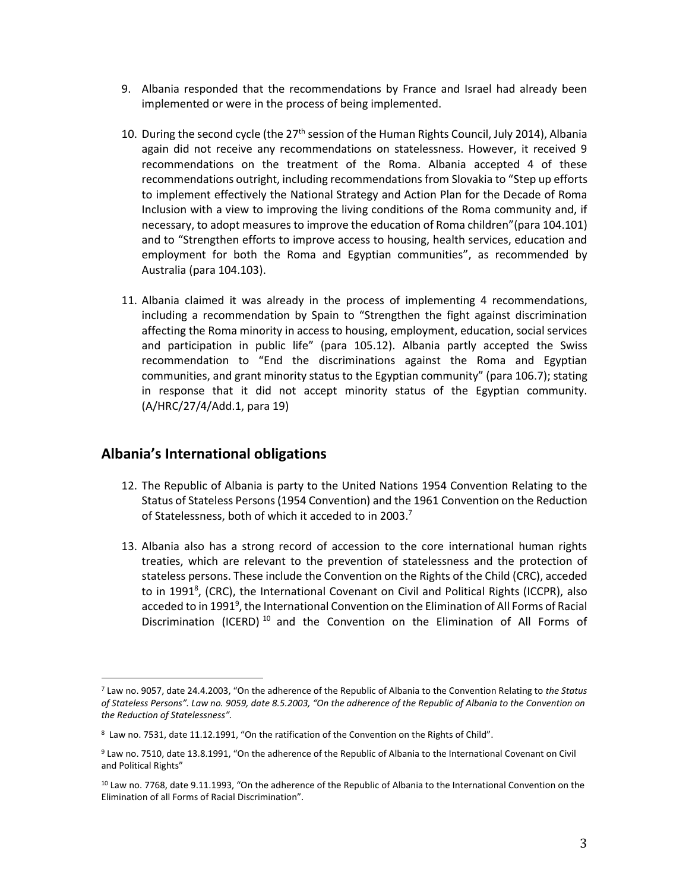- 9. Albania responded that the recommendations by France and Israel had already been implemented or were in the process of being implemented.
- 10. During the second cycle (the 27<sup>th</sup> session of the Human Rights Council, July 2014), Albania again did not receive any recommendations on statelessness. However, it received 9 recommendations on the treatment of the Roma. Albania accepted 4 of these recommendations outright, including recommendations from Slovakia to "Step up efforts to implement effectively the National Strategy and Action Plan for the Decade of Roma Inclusion with a view to improving the living conditions of the Roma community and, if necessary, to adopt measures to improve the education of Roma children"(para 104.101) and to "Strengthen efforts to improve access to housing, health services, education and employment for both the Roma and Egyptian communities", as recommended by Australia (para 104.103).
- 11. Albania claimed it was already in the process of implementing 4 recommendations, including a recommendation by Spain to "Strengthen the fight against discrimination affecting the Roma minority in access to housing, employment, education, social services and participation in public life" (para 105.12). Albania partly accepted the Swiss recommendation to "End the discriminations against the Roma and Egyptian communities, and grant minority status to the Egyptian community" (para 106.7); stating in response that it did not accept minority status of the Egyptian community. (A/HRC/27/4/Add.1, para 19)

#### **Albania's International obligations**

- 12. The Republic of Albania is party to the United Nations 1954 Convention Relating to the Status of Stateless Persons (1954 Convention) and the 1961 Convention on the Reduction of Statelessness, both of which it acceded to in 2003.<sup>7</sup>
- 13. Albania also has a strong record of accession to the core international human rights treaties, which are relevant to the prevention of statelessness and the protection of stateless persons. These include the Convention on the Rights of the Child (CRC), acceded to in 1991<sup>8</sup>, (CRC), the International Covenant on Civil and Political Rights (ICCPR), also acceded to in 1991<sup>9</sup>, the International Convention on the Elimination of All Forms of Racial Discrimination (ICERD)<sup>10</sup> and the Convention on the Elimination of All Forms of

<sup>7</sup> Law no. 9057, date 24.4.2003, "On the adherence of the Republic of Albania to the Convention Relating to *the Status of Stateless Persons". Law no. 9059, date 8.5.2003, "On the adherence of the Republic of Albania to the Convention on the Reduction of Statelessness".*

<sup>8</sup> Law no. 7531, date 11.12.1991, "On the ratification of the Convention on the Rights of Child".

<sup>9</sup> Law no. 7510, date 13.8.1991, "On the adherence of the Republic of Albania to the International Covenant on Civil and Political Rights"

<sup>10</sup> Law no. 7768, date 9.11.1993, "On the adherence of the Republic of Albania to the International Convention on the Elimination of all Forms of Racial Discrimination".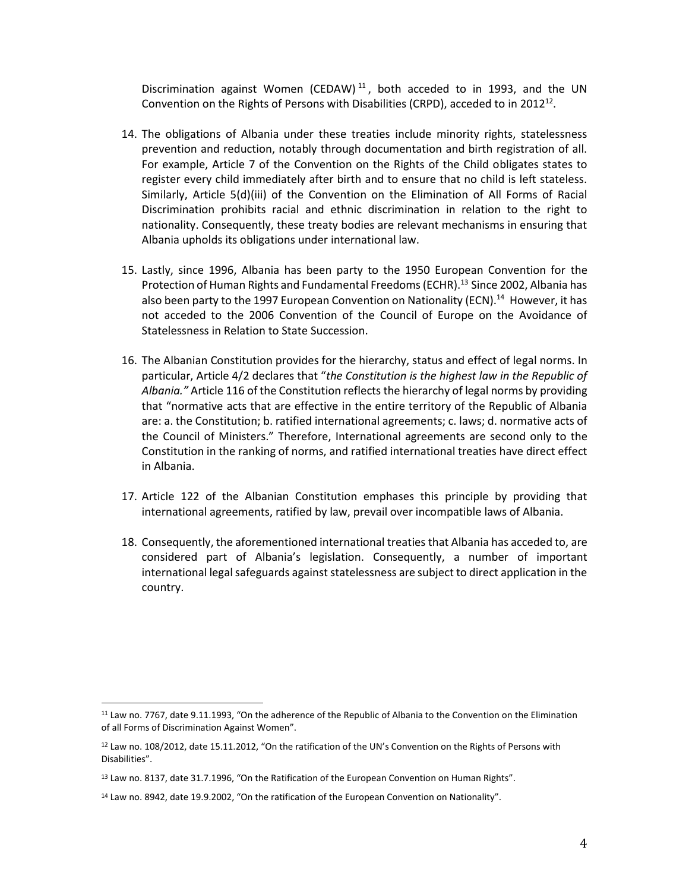Discrimination against Women (CEDAW)<sup>11</sup>, both acceded to in 1993, and the UN Convention on the Rights of Persons with Disabilities (CRPD), acceded to in 2012<sup>12</sup>.

- 14. The obligations of Albania under these treaties include minority rights, statelessness prevention and reduction, notably through documentation and birth registration of all. For example, Article 7 of the Convention on the Rights of the Child obligates states to register every child immediately after birth and to ensure that no child is left stateless. Similarly, Article 5(d)(iii) of the Convention on the Elimination of All Forms of Racial Discrimination prohibits racial and ethnic discrimination in relation to the right to nationality. Consequently, these treaty bodies are relevant mechanisms in ensuring that Albania upholds its obligations under international law.
- 15. Lastly, since 1996, Albania has been party to the 1950 European Convention for the Protection of Human Rights and Fundamental Freedoms (ECHR).<sup>13</sup> Since 2002, Albania has also been party to the 1997 European Convention on Nationality (ECN).<sup>14</sup> However, it has not acceded to the 2006 Convention of the Council of Europe on the Avoidance of Statelessness in Relation to State Succession.
- 16. The Albanian Constitution provides for the hierarchy, status and effect of legal norms. In particular, Article 4/2 declares that "*the Constitution is the highest law in the Republic of Albania."* Article 116 of the Constitution reflects the hierarchy of legal norms by providing that "normative acts that are effective in the entire territory of the Republic of Albania are: a. the Constitution; b. ratified international agreements; c. laws; d. normative acts of the Council of Ministers." Therefore, International agreements are second only to the Constitution in the ranking of norms, and ratified international treaties have direct effect in Albania.
- 17. Article 122 of the Albanian Constitution emphases this principle by providing that international agreements, ratified by law, prevail over incompatible laws of Albania.
- 18. Consequently, the aforementioned international treaties that Albania has acceded to, are considered part of Albania's legislation. Consequently, a number of important international legal safeguards against statelessness are subject to direct application in the country.

<sup>11</sup> Law no. 7767, date 9.11.1993, "On the adherence of the Republic of Albania to the Convention on the Elimination of all Forms of Discrimination Against Women".

<sup>12</sup> Law no. 108/2012, date 15.11.2012, "On the ratification of the UN's Convention on the Rights of Persons with Disabilities".

<sup>&</sup>lt;sup>13</sup> Law no. 8137, date 31.7.1996, "On the Ratification of the European Convention on Human Rights".

<sup>&</sup>lt;sup>14</sup> Law no. 8942, date 19.9.2002, "On the ratification of the European Convention on Nationality".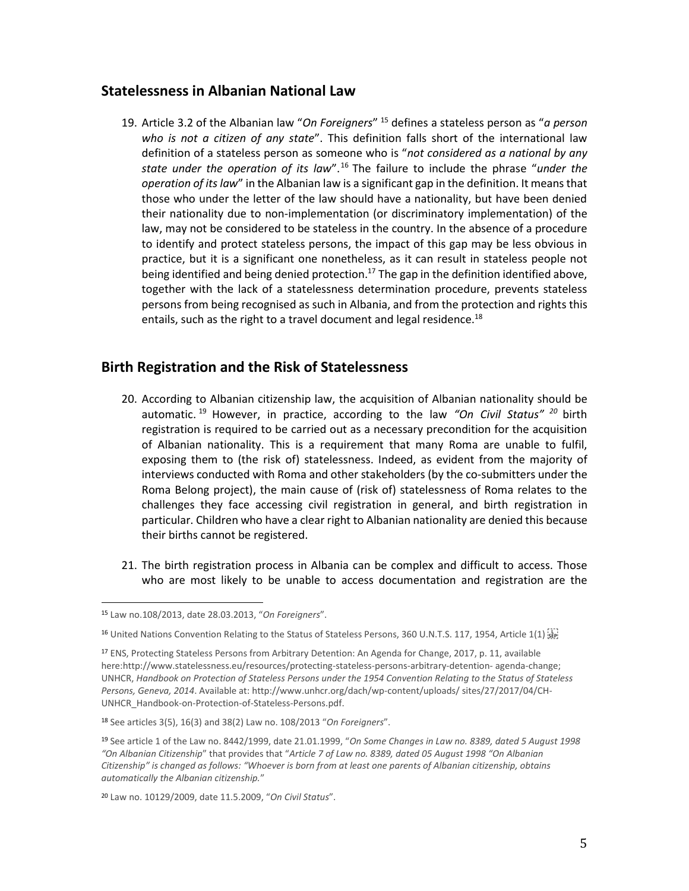#### **Statelessness in Albanian National Law**

19. Article 3.2 of the Albanian law "*On Foreigners*" <sup>15</sup> defines a stateless person as "*a person who is not a citizen of any state*". This definition falls short of the international law definition of a stateless person as someone who is "*not considered as a national by any state under the operation of its law*".<sup>16</sup> The failure to include the phrase "*under the operation of its law*" in the Albanian law is a significant gap in the definition. It means that those who under the letter of the law should have a nationality, but have been denied their nationality due to non-implementation (or discriminatory implementation) of the law, may not be considered to be stateless in the country. In the absence of a procedure to identify and protect stateless persons, the impact of this gap may be less obvious in practice, but it is a significant one nonetheless, as it can result in stateless people not being identified and being denied protection.<sup>17</sup> The gap in the definition identified above, together with the lack of a statelessness determination procedure, prevents stateless persons from being recognised as such in Albania, and from the protection and rights this entails, such as the right to a travel document and legal residence.<sup>18</sup>

#### **Birth Registration and the Risk of Statelessness**

- 20. According to Albanian citizenship law, the acquisition of Albanian nationality should be automatic. <sup>19</sup> However, in practice, according to the law *"On Civil Status" <sup>20</sup>* birth registration is required to be carried out as a necessary precondition for the acquisition of Albanian nationality. This is a requirement that many Roma are unable to fulfil, exposing them to (the risk of) statelessness. Indeed, as evident from the majority of interviews conducted with Roma and other stakeholders (by the co-submitters under the Roma Belong project), the main cause of (risk of) statelessness of Roma relates to the challenges they face accessing civil registration in general, and birth registration in particular. Children who have a clear right to Albanian nationality are denied this because their births cannot be registered.
- 21. The birth registration process in Albania can be complex and difficult to access. Those who are most likely to be unable to access documentation and registration are the

<sup>15</sup> Law no.108/2013, date 28.03.2013, "*On Foreigners*".

<sup>&</sup>lt;sup>16</sup> United Nations Convention Relating to the Status of Stateless Persons, 360 U.N.T.S. 117, 1954, Article 1(1)  $\frac{1}{2}$ 

<sup>17</sup> ENS, Protecting Stateless Persons from Arbitrary Detention: An Agenda for Change, 2017, p. 11, available here:http://www.statelessness.eu/resources/protecting-stateless-persons-arbitrary-detention- agenda-change; UNHCR, *Handbook on Protection of Stateless Persons under the 1954 Convention Relating to the Status of Stateless Persons, Geneva, 2014*. Available at: http://www.unhcr.org/dach/wp-content/uploads/ sites/27/2017/04/CH-UNHCR\_Handbook-on-Protection-of-Stateless-Persons.pdf.

<sup>18</sup> See articles 3(5), 16(3) and 38(2) Law no. 108/2013 "*On Foreigners*".

<sup>19</sup> See article 1 of the Law no. 8442/1999, date 21.01.1999, "*On Some Changes in Law no. 8389, dated 5 August 1998 "On Albanian Citizenship*" that provides that "*Article 7 of Law no. 8389, dated 05 August 1998 "On Albanian Citizenship" is changed as follows: "Whoever is born from at least one parents of Albanian citizenship, obtains automatically the Albanian citizenship.*"

<sup>20</sup> Law no. 10129/2009, date 11.5.2009, "*On Civil Status*".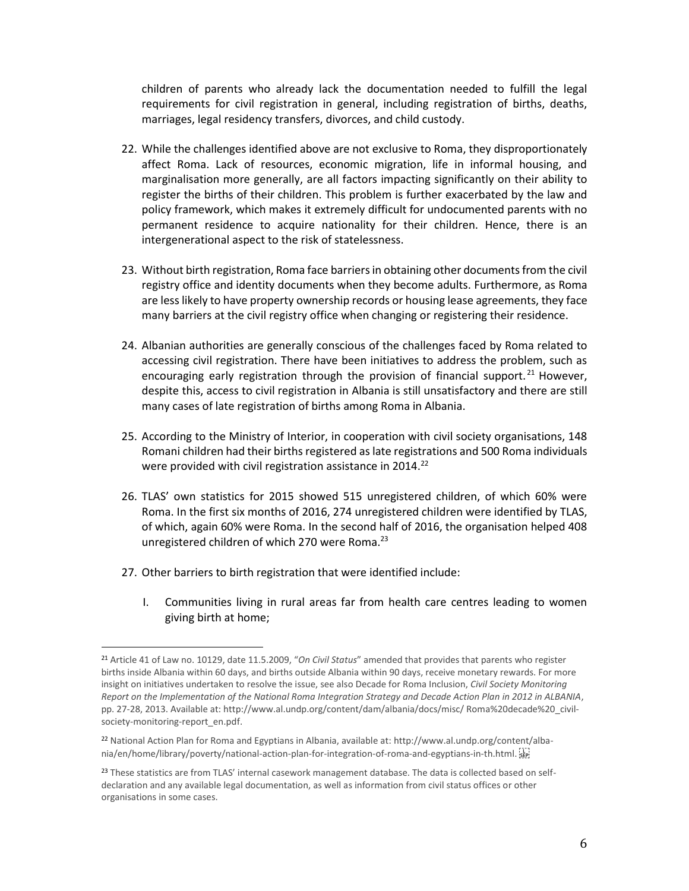children of parents who already lack the documentation needed to fulfill the legal requirements for civil registration in general, including registration of births, deaths, marriages, legal residency transfers, divorces, and child custody.

- 22. While the challenges identified above are not exclusive to Roma, they disproportionately affect Roma. Lack of resources, economic migration, life in informal housing, and marginalisation more generally, are all factors impacting significantly on their ability to register the births of their children. This problem is further exacerbated by the law and policy framework, which makes it extremely difficult for undocumented parents with no permanent residence to acquire nationality for their children. Hence, there is an intergenerational aspect to the risk of statelessness.
- 23. Without birth registration, Roma face barriers in obtaining other documents from the civil registry office and identity documents when they become adults. Furthermore, as Roma are less likely to have property ownership records or housing lease agreements, they face many barriers at the civil registry office when changing or registering their residence.
- 24. Albanian authorities are generally conscious of the challenges faced by Roma related to accessing civil registration. There have been initiatives to address the problem, such as encouraging early registration through the provision of financial support.<sup>21</sup> However, despite this, access to civil registration in Albania is still unsatisfactory and there are still many cases of late registration of births among Roma in Albania.
- 25. According to the Ministry of Interior, in cooperation with civil society organisations, 148 Romani children had their births registered as late registrations and 500 Roma individuals were provided with civil registration assistance in 2014.<sup>22</sup>
- 26. TLAS' own statistics for 2015 showed 515 unregistered children, of which 60% were Roma. In the first six months of 2016, 274 unregistered children were identified by TLAS, of which, again 60% were Roma. In the second half of 2016, the organisation helped 408 unregistered children of which 270 were Roma.<sup>23</sup>
- 27. Other barriers to birth registration that were identified include:

l

I. Communities living in rural areas far from health care centres leading to women giving birth at home;

<sup>21</sup> Article 41 of Law no. 10129, date 11.5.2009, "*On Civil Status*" amended that provides that parents who register births inside Albania within 60 days, and births outside Albania within 90 days, receive monetary rewards. For more insight on initiatives undertaken to resolve the issue, see also Decade for Roma Inclusion, *Civil Society Monitoring Report on the Implementation of the National Roma Integration Strategy and Decade Action Plan in 2012 in ALBANIA*, pp. 27-28, 2013. Available at: http://www.al.undp.org/content/dam/albania/docs/misc/ Roma%20decade%20\_civilsociety-monitoring-report\_en.pdf.

<sup>22</sup> National Action Plan for Roma and Egyptians in Albania, available at: http://www.al.undp.org/content/albania/en/home/library/poverty/national-action-plan-for-integration-of-roma-and-egyptians-in-th.html.

<sup>&</sup>lt;sup>23</sup> These statistics are from TLAS' internal casework management database. The data is collected based on selfdeclaration and any available legal documentation, as well as information from civil status offices or other organisations in some cases.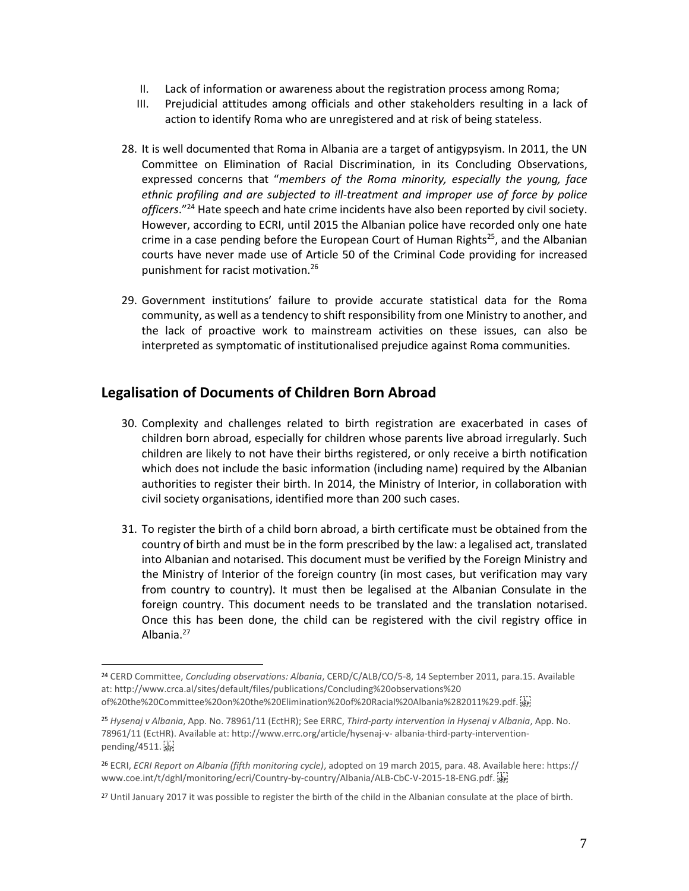- II. Lack of information or awareness about the registration process among Roma;
- III. Prejudicial attitudes among officials and other stakeholders resulting in a lack of action to identify Roma who are unregistered and at risk of being stateless.
- 28. It is well documented that Roma in Albania are a target of antigypsyism. In 2011, the UN Committee on Elimination of Racial Discrimination, in its Concluding Observations, expressed concerns that "*members of the Roma minority, especially the young, face ethnic profiling and are subjected to ill-treatment and improper use of force by police officers*."<sup>24</sup> Hate speech and hate crime incidents have also been reported by civil society. However, according to ECRI, until 2015 the Albanian police have recorded only one hate crime in a case pending before the European Court of Human Rights<sup>25</sup>, and the Albanian courts have never made use of Article 50 of the Criminal Code providing for increased punishment for racist motivation.<sup>26</sup>
- 29. Government institutions' failure to provide accurate statistical data for the Roma community, as well as a tendency to shift responsibility from one Ministry to another, and the lack of proactive work to mainstream activities on these issues, can also be interpreted as symptomatic of institutionalised prejudice against Roma communities.

## **Legalisation of Documents of Children Born Abroad**

- 30. Complexity and challenges related to birth registration are exacerbated in cases of children born abroad, especially for children whose parents live abroad irregularly. Such children are likely to not have their births registered, or only receive a birth notification which does not include the basic information (including name) required by the Albanian authorities to register their birth. In 2014, the Ministry of Interior, in collaboration with civil society organisations, identified more than 200 such cases.
- 31. To register the birth of a child born abroad, a birth certificate must be obtained from the country of birth and must be in the form prescribed by the law: a legalised act, translated into Albanian and notarised. This document must be verified by the Foreign Ministry and the Ministry of Interior of the foreign country (in most cases, but verification may vary from country to country). It must then be legalised at the Albanian Consulate in the foreign country. This document needs to be translated and the translation notarised. Once this has been done, the child can be registered with the civil registry office in Albania.<sup>27</sup>

<sup>24</sup> CERD Committee, *Concluding observations: Albania*, CERD/C/ALB/CO/5-8, 14 September 2011, para.15. Available at: http://www.crca.al/sites/default/files/publications/Concluding%20observations%20 of%20the%20Committee%20on%20the%20Elimination%20of%20Racial%20Albania%282011%29.pdf.

<sup>25</sup> *Hysenaj v Albania*, App. No. 78961/11 (EctHR); See ERRC, *Third-party intervention in Hysenaj v Albania*, App. No. 78961/11 (EctHR). Available at: http://www.errc.org/article/hysenaj-v- albania-third-party-interventionpending/4511.  $s_{\text{EP}}$ 

<sup>26</sup> ECRI, *ECRI Report on Albania (fifth monitoring cycle)*, adopted on 19 march 2015, para. 48. Available here: https:// www.coe.int/t/dghl/monitoring/ecri/Country-by-country/Albania/ALB-CbC-V-2015-18-ENG.pdf.

<sup>&</sup>lt;sup>27</sup> Until January 2017 it was possible to register the birth of the child in the Albanian consulate at the place of birth.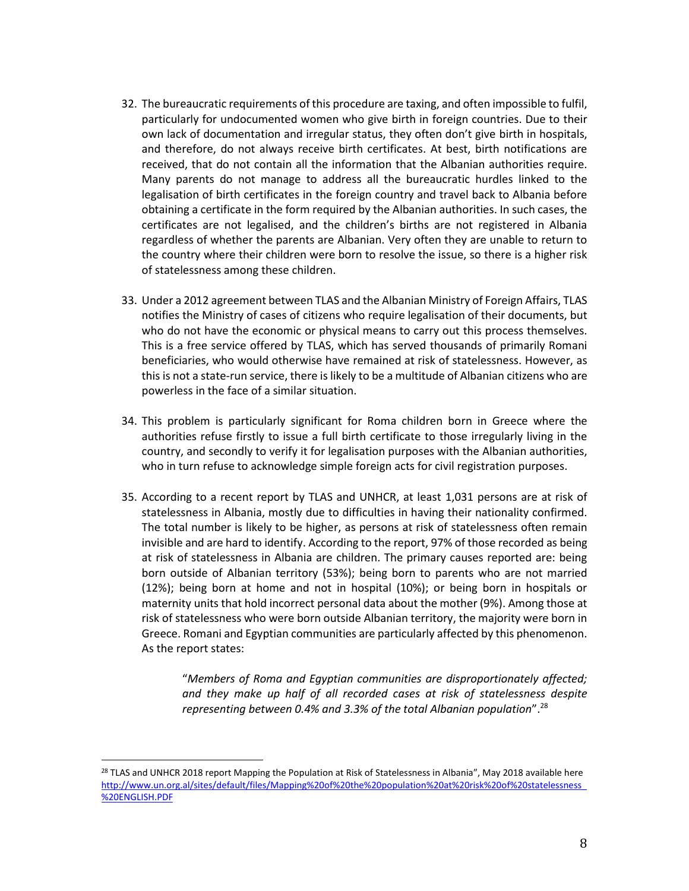- 32. The bureaucratic requirements of this procedure are taxing, and often impossible to fulfil, particularly for undocumented women who give birth in foreign countries. Due to their own lack of documentation and irregular status, they often don't give birth in hospitals, and therefore, do not always receive birth certificates. At best, birth notifications are received, that do not contain all the information that the Albanian authorities require. Many parents do not manage to address all the bureaucratic hurdles linked to the legalisation of birth certificates in the foreign country and travel back to Albania before obtaining a certificate in the form required by the Albanian authorities. In such cases, the certificates are not legalised, and the children's births are not registered in Albania regardless of whether the parents are Albanian. Very often they are unable to return to the country where their children were born to resolve the issue, so there is a higher risk of statelessness among these children.
- 33. Under a 2012 agreement between TLAS and the Albanian Ministry of Foreign Affairs, TLAS notifies the Ministry of cases of citizens who require legalisation of their documents, but who do not have the economic or physical means to carry out this process themselves. This is a free service offered by TLAS, which has served thousands of primarily Romani beneficiaries, who would otherwise have remained at risk of statelessness. However, as this is not a state-run service, there is likely to be a multitude of Albanian citizens who are powerless in the face of a similar situation.
- 34. This problem is particularly significant for Roma children born in Greece where the authorities refuse firstly to issue a full birth certificate to those irregularly living in the country, and secondly to verify it for legalisation purposes with the Albanian authorities, who in turn refuse to acknowledge simple foreign acts for civil registration purposes.
- 35. According to a recent report by TLAS and UNHCR, at least 1,031 persons are at risk of statelessness in Albania, mostly due to difficulties in having their nationality confirmed. The total number is likely to be higher, as persons at risk of statelessness often remain invisible and are hard to identify. According to the report, 97% of those recorded as being at risk of statelessness in Albania are children. The primary causes reported are: being born outside of Albanian territory (53%); being born to parents who are not married (12%); being born at home and not in hospital (10%); or being born in hospitals or maternity units that hold incorrect personal data about the mother (9%). Among those at risk of statelessness who were born outside Albanian territory, the majority were born in Greece. Romani and Egyptian communities are particularly affected by this phenomenon. As the report states:

"*Members of Roma and Egyptian communities are disproportionately affected; and they make up half of all recorded cases at risk of statelessness despite representing between 0.4% and 3.3% of the total Albanian population*".<sup>28</sup>

<sup>&</sup>lt;sup>28</sup> TLAS and UNHCR 2018 report Mapping the Population at Risk of Statelessness in Albania", May 2018 available here [http://www.un.org.al/sites/default/files/Mapping%20of%20the%20population%20at%20risk%20of%20statelessness\\_](http://www.un.org.al/sites/default/files/Mapping%20of%20the%20population%20at%20risk%20of%20statelessness_%20ENGLISH.PDF) [%20ENGLISH.PDF](http://www.un.org.al/sites/default/files/Mapping%20of%20the%20population%20at%20risk%20of%20statelessness_%20ENGLISH.PDF)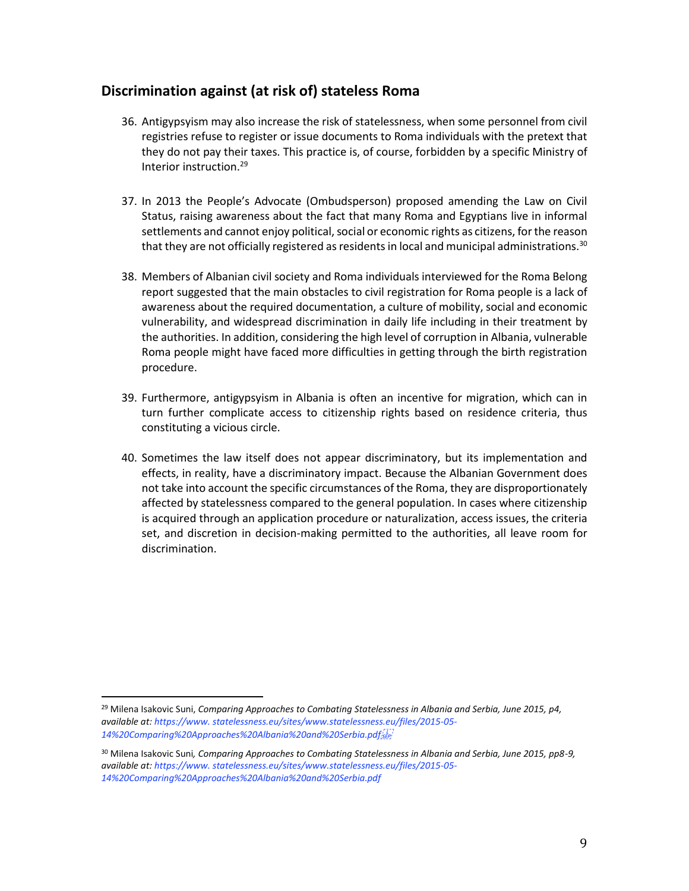## **Discrimination against (at risk of) stateless Roma**

- 36. Antigypsyism may also increase the risk of statelessness, when some personnel from civil registries refuse to register or issue documents to Roma individuals with the pretext that they do not pay their taxes. This practice is, of course, forbidden by a specific Ministry of Interior instruction.<sup>29</sup>
- 37. In 2013 the People's Advocate (Ombudsperson) proposed amending the Law on Civil Status, raising awareness about the fact that many Roma and Egyptians live in informal settlements and cannot enjoy political, social or economic rights as citizens, for the reason that they are not officially registered as residents in local and municipal administrations.<sup>30</sup>
- 38. Members of Albanian civil society and Roma individuals interviewed for the Roma Belong report suggested that the main obstacles to civil registration for Roma people is a lack of awareness about the required documentation, a culture of mobility, social and economic vulnerability, and widespread discrimination in daily life including in their treatment by the authorities. In addition, considering the high level of corruption in Albania, vulnerable Roma people might have faced more difficulties in getting through the birth registration procedure.
- 39. Furthermore, antigypsyism in Albania is often an incentive for migration, which can in turn further complicate access to citizenship rights based on residence criteria, thus constituting a vicious circle.
- 40. Sometimes the law itself does not appear discriminatory, but its implementation and effects, in reality, have a discriminatory impact. Because the Albanian Government does not take into account the specific circumstances of the Roma, they are disproportionately affected by statelessness compared to the general population. In cases where citizenship is acquired through an application procedure or naturalization, access issues, the criteria set, and discretion in decision-making permitted to the authorities, all leave room for discrimination.

l

<sup>29</sup> Milena Isakovic Suni, *Comparing Approaches to Combating Statelessness in Albania and Serbia, June 2015, p4, available at: https://www. statelessness.eu/sites/www.statelessness.eu/files/2015-05- 14%20Comparing%20Approaches%20Albania%20and%20Serbia.pdf*

<sup>30</sup> Milena Isakovic Suni*, Comparing Approaches to Combating Statelessness in Albania and Serbia, June 2015, pp8-9, available at: https://www. statelessness.eu/sites/www.statelessness.eu/files/2015-05- 14%20Comparing%20Approaches%20Albania%20and%20Serbia.pdf*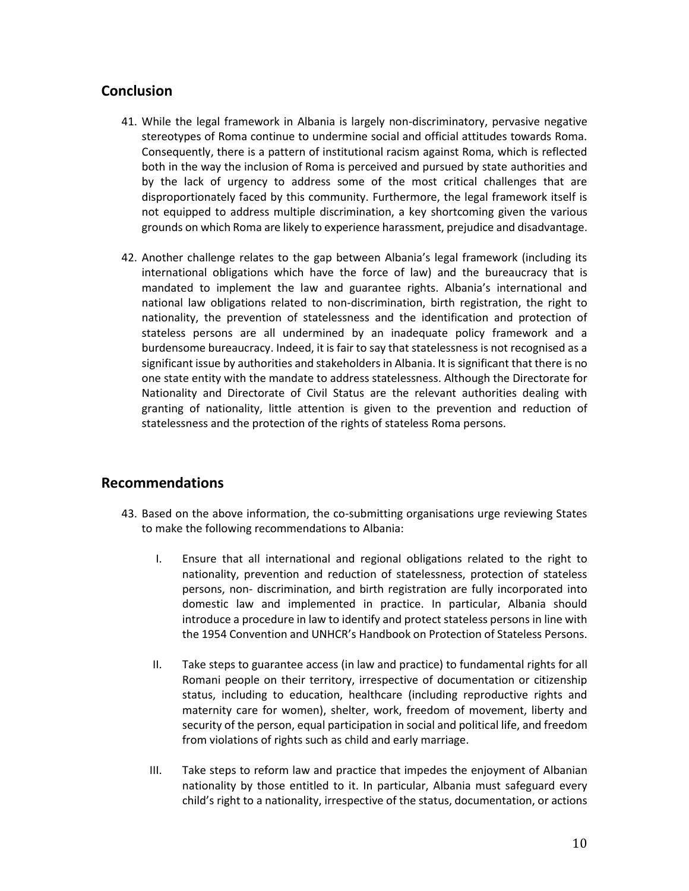## **Conclusion**

- 41. While the legal framework in Albania is largely non-discriminatory, pervasive negative stereotypes of Roma continue to undermine social and official attitudes towards Roma. Consequently, there is a pattern of institutional racism against Roma, which is reflected both in the way the inclusion of Roma is perceived and pursued by state authorities and by the lack of urgency to address some of the most critical challenges that are disproportionately faced by this community. Furthermore, the legal framework itself is not equipped to address multiple discrimination, a key shortcoming given the various grounds on which Roma are likely to experience harassment, prejudice and disadvantage.
- 42. Another challenge relates to the gap between Albania's legal framework (including its international obligations which have the force of law) and the bureaucracy that is mandated to implement the law and guarantee rights. Albania's international and national law obligations related to non-discrimination, birth registration, the right to nationality, the prevention of statelessness and the identification and protection of stateless persons are all undermined by an inadequate policy framework and a burdensome bureaucracy. Indeed, it is fair to say that statelessness is not recognised as a significant issue by authorities and stakeholders in Albania. It is significant that there is no one state entity with the mandate to address statelessness. Although the Directorate for Nationality and Directorate of Civil Status are the relevant authorities dealing with granting of nationality, little attention is given to the prevention and reduction of statelessness and the protection of the rights of stateless Roma persons.

#### **Recommendations**

- 43. Based on the above information, the co-submitting organisations urge reviewing States to make the following recommendations to Albania:
	- I. Ensure that all international and regional obligations related to the right to nationality, prevention and reduction of statelessness, protection of stateless persons, non- discrimination, and birth registration are fully incorporated into domestic law and implemented in practice. In particular, Albania should introduce a procedure in law to identify and protect stateless persons in line with the 1954 Convention and UNHCR's Handbook on Protection of Stateless Persons.
	- II. Take steps to guarantee access (in law and practice) to fundamental rights for all Romani people on their territory, irrespective of documentation or citizenship status, including to education, healthcare (including reproductive rights and maternity care for women), shelter, work, freedom of movement, liberty and security of the person, equal participation in social and political life, and freedom from violations of rights such as child and early marriage.
	- III. Take steps to reform law and practice that impedes the enjoyment of Albanian nationality by those entitled to it. In particular, Albania must safeguard every child's right to a nationality, irrespective of the status, documentation, or actions